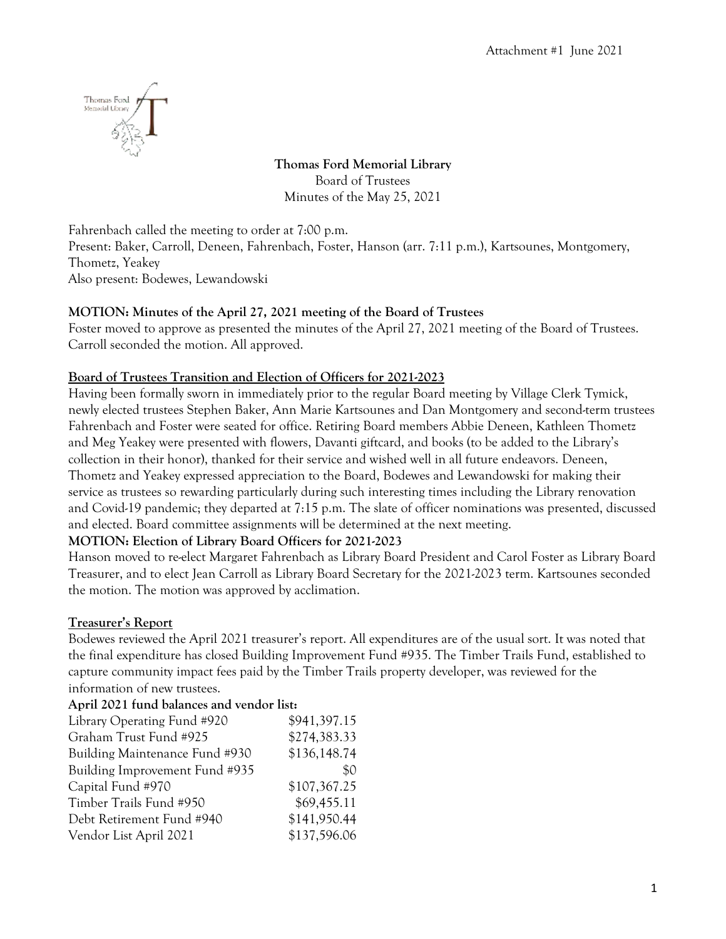

**Thomas Ford Memorial Library** Board of Trustees Minutes of the May 25, 2021

Fahrenbach called the meeting to order at 7:00 p.m.

Present: Baker, Carroll, Deneen, Fahrenbach, Foster, Hanson (arr. 7:11 p.m.), Kartsounes, Montgomery, Thometz, Yeakey

Also present: Bodewes, Lewandowski

## **MOTION: Minutes of the April 27, 2021 meeting of the Board of Trustees**

Foster moved to approve as presented the minutes of the April 27, 2021 meeting of the Board of Trustees. Carroll seconded the motion. All approved.

## **Board of Trustees Transition and Election of Officers for 2021-2023**

Having been formally sworn in immediately prior to the regular Board meeting by Village Clerk Tymick, newly elected trustees Stephen Baker, Ann Marie Kartsounes and Dan Montgomery and second-term trustees Fahrenbach and Foster were seated for office. Retiring Board members Abbie Deneen, Kathleen Thometz and Meg Yeakey were presented with flowers, Davanti giftcard, and books (to be added to the Library's collection in their honor), thanked for their service and wished well in all future endeavors. Deneen, Thometz and Yeakey expressed appreciation to the Board, Bodewes and Lewandowski for making their service as trustees so rewarding particularly during such interesting times including the Library renovation and Covid-19 pandemic; they departed at 7:15 p.m. The slate of officer nominations was presented, discussed and elected. Board committee assignments will be determined at the next meeting.

### **MOTION: Election of Library Board Officers for 2021-2023**

Hanson moved to re-elect Margaret Fahrenbach as Library Board President and Carol Foster as Library Board Treasurer, and to elect Jean Carroll as Library Board Secretary for the 2021-2023 term. Kartsounes seconded the motion. The motion was approved by acclimation.

## **Treasurer's Report**

Bodewes reviewed the April 2021 treasurer's report. All expenditures are of the usual sort. It was noted that the final expenditure has closed Building Improvement Fund #935. The Timber Trails Fund, established to capture community impact fees paid by the Timber Trails property developer, was reviewed for the information of new trustees.

#### **April 2021 fund balances and vendor list:**

| Library Operating Fund #920    | \$941,397.15 |
|--------------------------------|--------------|
| Graham Trust Fund #925         | \$274,383.33 |
| Building Maintenance Fund #930 | \$136,148.74 |
| Building Improvement Fund #935 | \$0          |
| Capital Fund #970              | \$107,367.25 |
| Timber Trails Fund #950        | \$69,455.11  |
| Debt Retirement Fund #940      | \$141,950.44 |
| Vendor List April 2021         | \$137,596.06 |
|                                |              |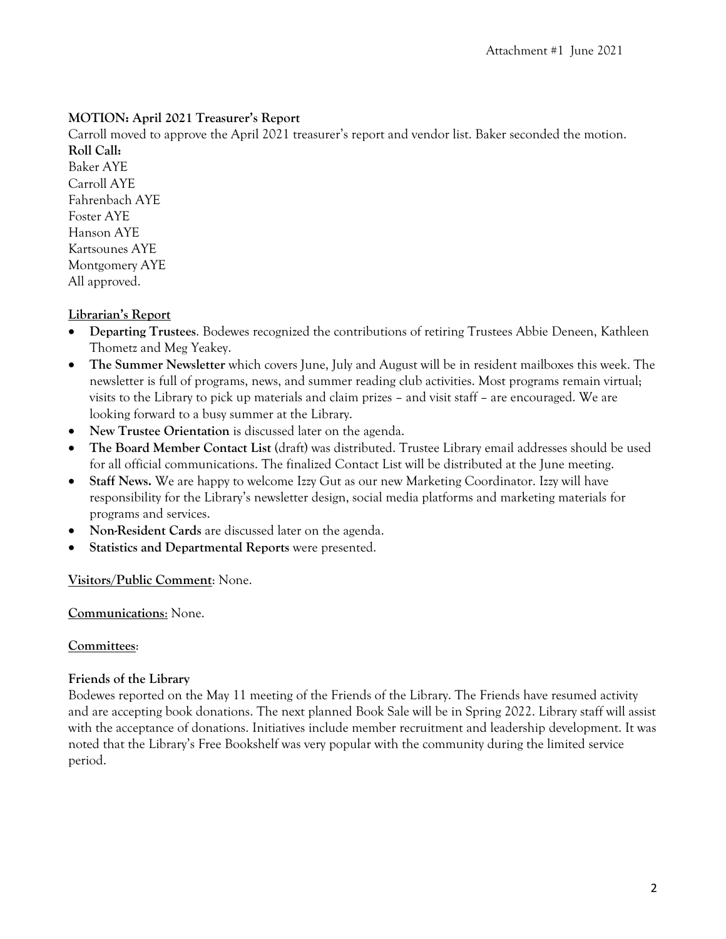## **MOTION: April 2021 Treasurer's Report**

Carroll moved to approve the April 2021 treasurer's report and vendor list. Baker seconded the motion. **Roll Call:**

Baker AYE Carroll AYE Fahrenbach AYE Foster AYE Hanson AYE Kartsounes AYE Montgomery AYE All approved.

## **Librarian's Report**

- **Departing Trustees**. Bodewes recognized the contributions of retiring Trustees Abbie Deneen, Kathleen Thometz and Meg Yeakey.
- **The Summer Newsletter** which covers June, July and August will be in resident mailboxes this week. The newsletter is full of programs, news, and summer reading club activities. Most programs remain virtual; visits to the Library to pick up materials and claim prizes – and visit staff – are encouraged. We are looking forward to a busy summer at the Library.
- **New Trustee Orientation** is discussed later on the agenda.
- **The Board Member Contact List** (draft) was distributed. Trustee Library email addresses should be used for all official communications. The finalized Contact List will be distributed at the June meeting.
- **Staff News.** We are happy to welcome Izzy Gut as our new Marketing Coordinator. Izzy will have responsibility for the Library's newsletter design, social media platforms and marketing materials for programs and services.
- **Non-Resident Cards** are discussed later on the agenda.
- **Statistics and Departmental Reports** were presented.

**Visitors/Public Comment**: None.

### **Communications**: None.

### **Committees**:

### **Friends of the Library**

Bodewes reported on the May 11 meeting of the Friends of the Library. The Friends have resumed activity and are accepting book donations. The next planned Book Sale will be in Spring 2022. Library staff will assist with the acceptance of donations. Initiatives include member recruitment and leadership development. It was noted that the Library's Free Bookshelf was very popular with the community during the limited service period.